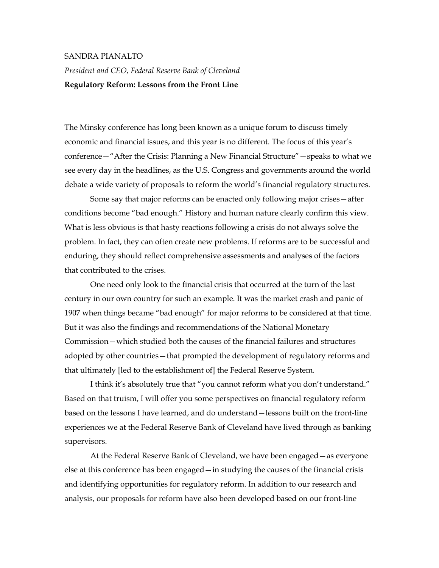## SANDRA PIANALTO

*President and CEO, Federal Reserve Bank of Cleveland* **Regulatory Reform: Lessons from the Front Line**

The Minsky conference has long been known as a unique forum to discuss timely economic and financial issues, and this year is no different. The focus of this year's conference—"After the Crisis: Planning a New Financial Structure"—speaks to what we see every day in the headlines, as the U.S. Congress and governments around the world debate a wide variety of proposals to reform the world's financial regulatory structures.

Some say that major reforms can be enacted only following major crises—after conditions become "bad enough." History and human nature clearly confirm this view. What is less obvious is that hasty reactions following a crisis do not always solve the problem. In fact, they can often create new problems. If reforms are to be successful and enduring, they should reflect comprehensive assessments and analyses of the factors that contributed to the crises.

One need only look to the financial crisis that occurred at the turn of the last century in our own country for such an example. It was the market crash and panic of 1907 when things became "bad enough" for major reforms to be considered at that time. But it was also the findings and recommendations of the National Monetary Commission—which studied both the causes of the financial failures and structures adopted by other countries—that prompted the development of regulatory reforms and that ultimately [led to the establishment of] the Federal Reserve System.

I think it's absolutely true that "you cannot reform what you don't understand." Based on that truism, I will offer you some perspectives on financial regulatory reform based on the lessons I have learned, and do understand—lessons built on the front-line experiences we at the Federal Reserve Bank of Cleveland have lived through as banking supervisors.

At the Federal Reserve Bank of Cleveland, we have been engaged—as everyone else at this conference has been engaged—in studying the causes of the financial crisis and identifying opportunities for regulatory reform. In addition to our research and analysis, our proposals for reform have also been developed based on our front-line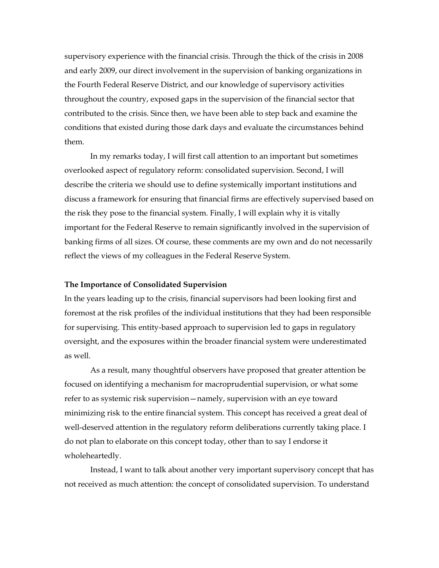supervisory experience with the financial crisis. Through the thick of the crisis in 2008 and early 2009, our direct involvement in the supervision of banking organizations in the Fourth Federal Reserve District, and our knowledge of supervisory activities throughout the country, exposed gaps in the supervision of the financial sector that contributed to the crisis. Since then, we have been able to step back and examine the conditions that existed during those dark days and evaluate the circumstances behind them.

In my remarks today, I will first call attention to an important but sometimes overlooked aspect of regulatory reform: consolidated supervision. Second, I will describe the criteria we should use to define systemically important institutions and discuss a framework for ensuring that financial firms are effectively supervised based on the risk they pose to the financial system. Finally, I will explain why it is vitally important for the Federal Reserve to remain significantly involved in the supervision of banking firms of all sizes. Of course, these comments are my own and do not necessarily reflect the views of my colleagues in the Federal Reserve System.

## **The Importance of Consolidated Supervision**

In the years leading up to the crisis, financial supervisors had been looking first and foremost at the risk profiles of the individual institutions that they had been responsible for supervising. This entity-based approach to supervision led to gaps in regulatory oversight, and the exposures within the broader financial system were underestimated as well.

As a result, many thoughtful observers have proposed that greater attention be focused on identifying a mechanism for macroprudential supervision, or what some refer to as systemic risk supervision—namely, supervision with an eye toward minimizing risk to the entire financial system. This concept has received a great deal of well-deserved attention in the regulatory reform deliberations currently taking place. I do not plan to elaborate on this concept today, other than to say I endorse it wholeheartedly.

Instead, I want to talk about another very important supervisory concept that has not received as much attention: the concept of consolidated supervision. To understand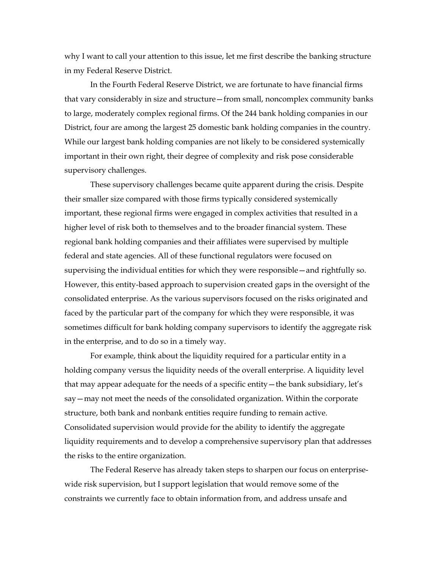why I want to call your attention to this issue, let me first describe the banking structure in my Federal Reserve District.

In the Fourth Federal Reserve District, we are fortunate to have financial firms that vary considerably in size and structure—from small, noncomplex community banks to large, moderately complex regional firms. Of the 244 bank holding companies in our District, four are among the largest 25 domestic bank holding companies in the country. While our largest bank holding companies are not likely to be considered systemically important in their own right, their degree of complexity and risk pose considerable supervisory challenges.

These supervisory challenges became quite apparent during the crisis. Despite their smaller size compared with those firms typically considered systemically important, these regional firms were engaged in complex activities that resulted in a higher level of risk both to themselves and to the broader financial system. These regional bank holding companies and their affiliates were supervised by multiple federal and state agencies. All of these functional regulators were focused on supervising the individual entities for which they were responsible—and rightfully so. However, this entity-based approach to supervision created gaps in the oversight of the consolidated enterprise. As the various supervisors focused on the risks originated and faced by the particular part of the company for which they were responsible, it was sometimes difficult for bank holding company supervisors to identify the aggregate risk in the enterprise, and to do so in a timely way.

For example, think about the liquidity required for a particular entity in a holding company versus the liquidity needs of the overall enterprise. A liquidity level that may appear adequate for the needs of a specific entity—the bank subsidiary, let's say—may not meet the needs of the consolidated organization. Within the corporate structure, both bank and nonbank entities require funding to remain active. Consolidated supervision would provide for the ability to identify the aggregate liquidity requirements and to develop a comprehensive supervisory plan that addresses the risks to the entire organization.

The Federal Reserve has already taken steps to sharpen our focus on enterprisewide risk supervision, but I support legislation that would remove some of the constraints we currently face to obtain information from, and address unsafe and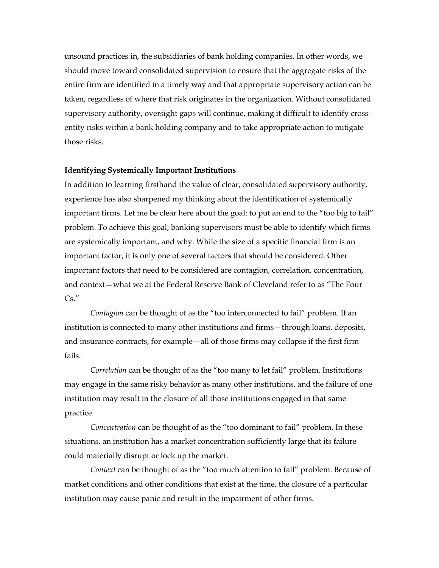unsound practices in, the subsidiaries of bank holding companies. In other words, we should move toward consolidated supervision to ensure that the aggregate risks of the entire firm are identified in a timely way and that appropriate supervisory action can be taken, regardless of where that risk originates in the organization. Without consolidated supervisory authority, oversight gaps will continue, making it difficult to identify crossentity risks within a bank holding company and to take appropriate action to mitigate those risks.

#### **Identifying Systemically Important Institutions**

In addition to learning firsthand the value of clear, consolidated supervisory authority, experience has also sharpened my thinking about the identification of systemically important firms. Let me be clear here about the goal: to put an end to the "too big to fail" problem. To achieve this goal, banking supervisors must be able to identify which firms are systemically important, and why. While the size of a specific financial firm is an important factor, it is only one of several factors that should be considered. Other important factors that need to be considered are contagion, correlation, concentration, and context—what we at the Federal Reserve Bank of Cleveland refer to as "The Four  $Cs''$ 

*Contagion* can be thought of as the "too interconnected to fail" problem. If an institution is connected to many other institutions and firms—through loans, deposits, and insurance contracts, for example—all of those firms may collapse if the first firm fails.

*Correlation* can be thought of as the "too many to let fail" problem. Institutions may engage in the same risky behavior as many other institutions, and the failure of one institution may result in the closure of all those institutions engaged in that same practice.

*Concentration* can be thought of as the "too dominant to fail" problem. In these situations, an institution has a market concentration sufficiently large that its failure could materially disrupt or lock up the market.

*Context* can be thought of as the "too much attention to fail" problem. Because of market conditions and other conditions that exist at the time, the closure of a particular institution may cause panic and result in the impairment of other firms.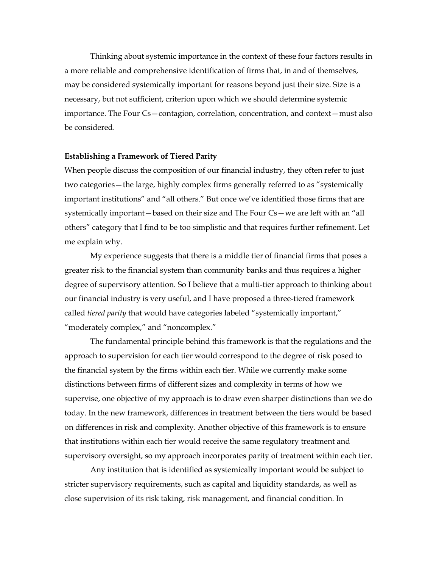Thinking about systemic importance in the context of these four factors results in a more reliable and comprehensive identification of firms that, in and of themselves, may be considered systemically important for reasons beyond just their size. Size is a necessary, but not sufficient, criterion upon which we should determine systemic importance. The Four Cs—contagion, correlation, concentration, and context—must also be considered.

### **Establishing a Framework of Tiered Parity**

When people discuss the composition of our financial industry, they often refer to just two categories—the large, highly complex firms generally referred to as "systemically important institutions" and "all others." But once we've identified those firms that are systemically important—based on their size and The Four Cs—we are left with an "all others" category that I find to be too simplistic and that requires further refinement. Let me explain why.

My experience suggests that there is a middle tier of financial firms that poses a greater risk to the financial system than community banks and thus requires a higher degree of supervisory attention. So I believe that a multi-tier approach to thinking about our financial industry is very useful, and I have proposed a three-tiered framework called *tiered parity* that would have categories labeled "systemically important," "moderately complex," and "noncomplex."

The fundamental principle behind this framework is that the regulations and the approach to supervision for each tier would correspond to the degree of risk posed to the financial system by the firms within each tier. While we currently make some distinctions between firms of different sizes and complexity in terms of how we supervise, one objective of my approach is to draw even sharper distinctions than we do today. In the new framework, differences in treatment between the tiers would be based on differences in risk and complexity. Another objective of this framework is to ensure that institutions within each tier would receive the same regulatory treatment and supervisory oversight, so my approach incorporates parity of treatment within each tier.

Any institution that is identified as systemically important would be subject to stricter supervisory requirements, such as capital and liquidity standards, as well as close supervision of its risk taking, risk management, and financial condition. In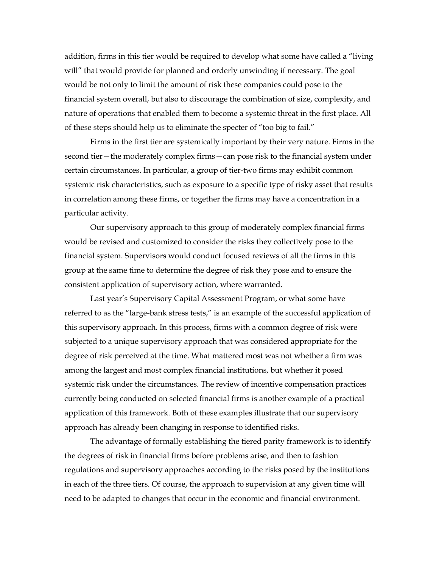addition, firms in this tier would be required to develop what some have called a "living will" that would provide for planned and orderly unwinding if necessary. The goal would be not only to limit the amount of risk these companies could pose to the financial system overall, but also to discourage the combination of size, complexity, and nature of operations that enabled them to become a systemic threat in the first place. All of these steps should help us to eliminate the specter of "too big to fail."

Firms in the first tier are systemically important by their very nature. Firms in the second tier—the moderately complex firms—can pose risk to the financial system under certain circumstances. In particular, a group of tier-two firms may exhibit common systemic risk characteristics, such as exposure to a specific type of risky asset that results in correlation among these firms, or together the firms may have a concentration in a particular activity.

Our supervisory approach to this group of moderately complex financial firms would be revised and customized to consider the risks they collectively pose to the financial system. Supervisors would conduct focused reviews of all the firms in this group at the same time to determine the degree of risk they pose and to ensure the consistent application of supervisory action, where warranted.

Last year's Supervisory Capital Assessment Program, or what some have referred to as the "large-bank stress tests," is an example of the successful application of this supervisory approach. In this process, firms with a common degree of risk were subjected to a unique supervisory approach that was considered appropriate for the degree of risk perceived at the time. What mattered most was not whether a firm was among the largest and most complex financial institutions, but whether it posed systemic risk under the circumstances. The review of incentive compensation practices currently being conducted on selected financial firms is another example of a practical application of this framework. Both of these examples illustrate that our supervisory approach has already been changing in response to identified risks.

The advantage of formally establishing the tiered parity framework is to identify the degrees of risk in financial firms before problems arise, and then to fashion regulations and supervisory approaches according to the risks posed by the institutions in each of the three tiers. Of course, the approach to supervision at any given time will need to be adapted to changes that occur in the economic and financial environment.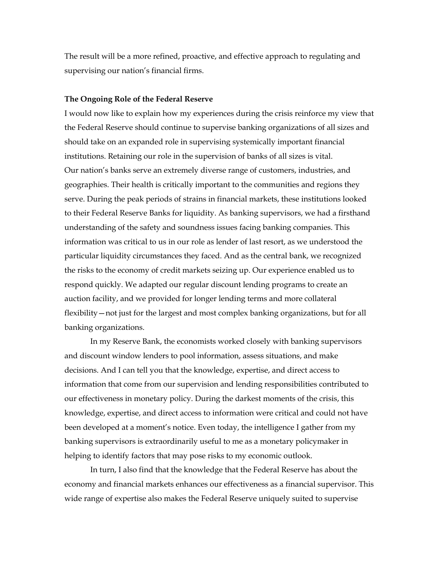The result will be a more refined, proactive, and effective approach to regulating and supervising our nation's financial firms.

#### **The Ongoing Role of the Federal Reserve**

I would now like to explain how my experiences during the crisis reinforce my view that the Federal Reserve should continue to supervise banking organizations of all sizes and should take on an expanded role in supervising systemically important financial institutions. Retaining our role in the supervision of banks of all sizes is vital. Our nation's banks serve an extremely diverse range of customers, industries, and geographies. Their health is critically important to the communities and regions they serve. During the peak periods of strains in financial markets, these institutions looked to their Federal Reserve Banks for liquidity. As banking supervisors, we had a firsthand understanding of the safety and soundness issues facing banking companies. This information was critical to us in our role as lender of last resort, as we understood the particular liquidity circumstances they faced. And as the central bank, we recognized the risks to the economy of credit markets seizing up. Our experience enabled us to respond quickly. We adapted our regular discount lending programs to create an auction facility, and we provided for longer lending terms and more collateral flexibility—not just for the largest and most complex banking organizations, but for all banking organizations.

In my Reserve Bank, the economists worked closely with banking supervisors and discount window lenders to pool information, assess situations, and make decisions. And I can tell you that the knowledge, expertise, and direct access to information that come from our supervision and lending responsibilities contributed to our effectiveness in monetary policy. During the darkest moments of the crisis, this knowledge, expertise, and direct access to information were critical and could not have been developed at a moment's notice. Even today, the intelligence I gather from my banking supervisors is extraordinarily useful to me as a monetary policymaker in helping to identify factors that may pose risks to my economic outlook.

In turn, I also find that the knowledge that the Federal Reserve has about the economy and financial markets enhances our effectiveness as a financial supervisor. This wide range of expertise also makes the Federal Reserve uniquely suited to supervise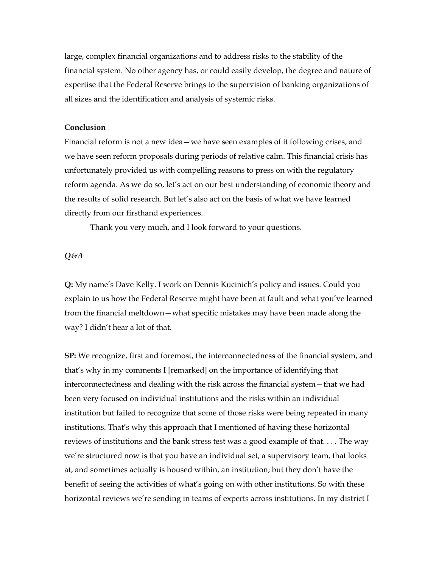large, complex financial organizations and to address risks to the stability of the financial system. No other agency has, or could easily develop, the degree and nature of expertise that the Federal Reserve brings to the supervision of banking organizations of all sizes and the identification and analysis of systemic risks.

## **Conclusion**

Financial reform is not a new idea—we have seen examples of it following crises, and we have seen reform proposals during periods of relative calm. This financial crisis has unfortunately provided us with compelling reasons to press on with the regulatory reform agenda. As we do so, let's act on our best understanding of economic theory and the results of solid research. But let's also act on the basis of what we have learned directly from our firsthand experiences.

Thank you very much, and I look forward to your questions.

# *Q&A*

**Q:** My name's Dave Kelly. I work on Dennis Kucinich's policy and issues. Could you explain to us how the Federal Reserve might have been at fault and what you've learned from the financial meltdown—what specific mistakes may have been made along the way? I didn't hear a lot of that.

**SP:** We recognize, first and foremost, the interconnectedness of the financial system, and that's why in my comments I [remarked] on the importance of identifying that interconnectedness and dealing with the risk across the financial system—that we had been very focused on individual institutions and the risks within an individual institution but failed to recognize that some of those risks were being repeated in many institutions. That's why this approach that I mentioned of having these horizontal reviews of institutions and the bank stress test was a good example of that. . . . The way we're structured now is that you have an individual set, a supervisory team, that looks at, and sometimes actually is housed within, an institution; but they don't have the benefit of seeing the activities of what's going on with other institutions. So with these horizontal reviews we're sending in teams of experts across institutions. In my district I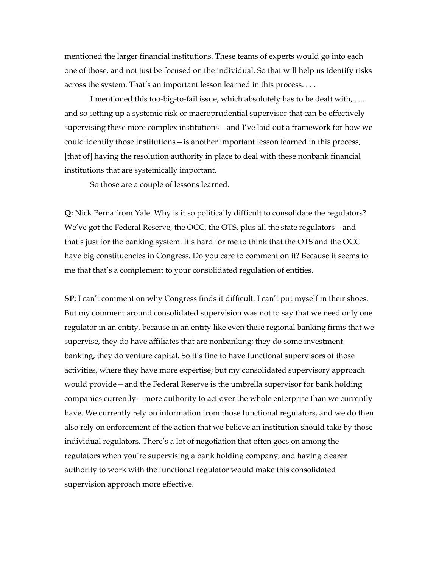mentioned the larger financial institutions. These teams of experts would go into each one of those, and not just be focused on the individual. So that will help us identify risks across the system. That's an important lesson learned in this process. . . .

I mentioned this too-big-to-fail issue, which absolutely has to be dealt with, . . . and so setting up a systemic risk or macroprudential supervisor that can be effectively supervising these more complex institutions—and I've laid out a framework for how we could identify those institutions—is another important lesson learned in this process, [that of] having the resolution authority in place to deal with these nonbank financial institutions that are systemically important.

So those are a couple of lessons learned.

**Q:** Nick Perna from Yale. Why is it so politically difficult to consolidate the regulators? We've got the Federal Reserve, the OCC, the OTS, plus all the state regulators—and that's just for the banking system. It's hard for me to think that the OTS and the OCC have big constituencies in Congress. Do you care to comment on it? Because it seems to me that that's a complement to your consolidated regulation of entities.

**SP:** I can't comment on why Congress finds it difficult. I can't put myself in their shoes. But my comment around consolidated supervision was not to say that we need only one regulator in an entity, because in an entity like even these regional banking firms that we supervise, they do have affiliates that are nonbanking; they do some investment banking, they do venture capital. So it's fine to have functional supervisors of those activities, where they have more expertise; but my consolidated supervisory approach would provide—and the Federal Reserve is the umbrella supervisor for bank holding companies currently—more authority to act over the whole enterprise than we currently have. We currently rely on information from those functional regulators, and we do then also rely on enforcement of the action that we believe an institution should take by those individual regulators. There's a lot of negotiation that often goes on among the regulators when you're supervising a bank holding company, and having clearer authority to work with the functional regulator would make this consolidated supervision approach more effective.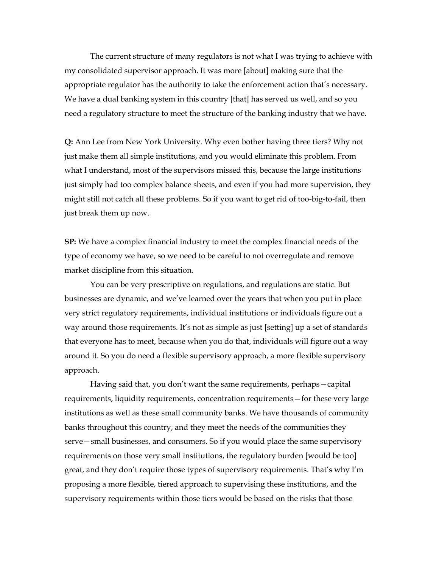The current structure of many regulators is not what I was trying to achieve with my consolidated supervisor approach. It was more [about] making sure that the appropriate regulator has the authority to take the enforcement action that's necessary. We have a dual banking system in this country [that] has served us well, and so you need a regulatory structure to meet the structure of the banking industry that we have.

**Q:** Ann Lee from New York University. Why even bother having three tiers? Why not just make them all simple institutions, and you would eliminate this problem. From what I understand, most of the supervisors missed this, because the large institutions just simply had too complex balance sheets, and even if you had more supervision, they might still not catch all these problems. So if you want to get rid of too-big-to-fail, then just break them up now.

**SP:** We have a complex financial industry to meet the complex financial needs of the type of economy we have, so we need to be careful to not overregulate and remove market discipline from this situation.

You can be very prescriptive on regulations, and regulations are static. But businesses are dynamic, and we've learned over the years that when you put in place very strict regulatory requirements, individual institutions or individuals figure out a way around those requirements. It's not as simple as just [setting] up a set of standards that everyone has to meet, because when you do that, individuals will figure out a way around it. So you do need a flexible supervisory approach, a more flexible supervisory approach.

Having said that, you don't want the same requirements, perhaps—capital requirements, liquidity requirements, concentration requirements—for these very large institutions as well as these small community banks. We have thousands of community banks throughout this country, and they meet the needs of the communities they serve—small businesses, and consumers. So if you would place the same supervisory requirements on those very small institutions, the regulatory burden [would be too] great, and they don't require those types of supervisory requirements. That's why I'm proposing a more flexible, tiered approach to supervising these institutions, and the supervisory requirements within those tiers would be based on the risks that those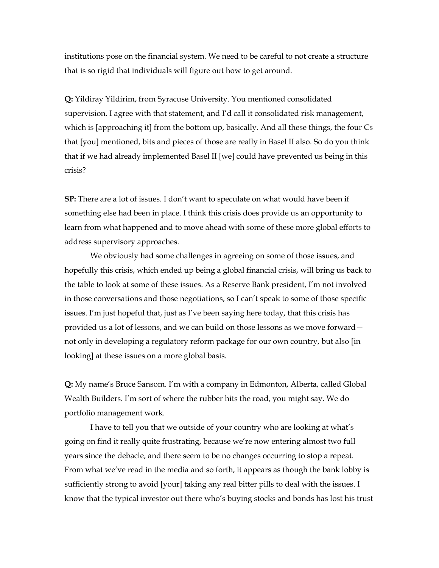institutions pose on the financial system. We need to be careful to not create a structure that is so rigid that individuals will figure out how to get around.

**Q:** Yildiray Yildirim, from Syracuse University. You mentioned consolidated supervision. I agree with that statement, and I'd call it consolidated risk management, which is [approaching it] from the bottom up, basically. And all these things, the four Cs that [you] mentioned, bits and pieces of those are really in Basel II also. So do you think that if we had already implemented Basel II [we] could have prevented us being in this crisis?

**SP:** There are a lot of issues. I don't want to speculate on what would have been if something else had been in place. I think this crisis does provide us an opportunity to learn from what happened and to move ahead with some of these more global efforts to address supervisory approaches.

We obviously had some challenges in agreeing on some of those issues, and hopefully this crisis, which ended up being a global financial crisis, will bring us back to the table to look at some of these issues. As a Reserve Bank president, I'm not involved in those conversations and those negotiations, so I can't speak to some of those specific issues. I'm just hopeful that, just as I've been saying here today, that this crisis has provided us a lot of lessons, and we can build on those lessons as we move forward not only in developing a regulatory reform package for our own country, but also [in looking] at these issues on a more global basis.

**Q:** My name's Bruce Sansom. I'm with a company in Edmonton, Alberta, called Global Wealth Builders. I'm sort of where the rubber hits the road, you might say. We do portfolio management work.

I have to tell you that we outside of your country who are looking at what's going on find it really quite frustrating, because we're now entering almost two full years since the debacle, and there seem to be no changes occurring to stop a repeat. From what we've read in the media and so forth, it appears as though the bank lobby is sufficiently strong to avoid [your] taking any real bitter pills to deal with the issues. I know that the typical investor out there who's buying stocks and bonds has lost his trust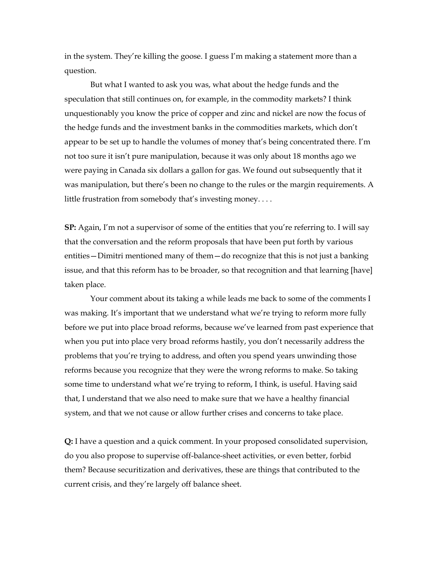in the system. They're killing the goose. I guess I'm making a statement more than a question.

But what I wanted to ask you was, what about the hedge funds and the speculation that still continues on, for example, in the commodity markets? I think unquestionably you know the price of copper and zinc and nickel are now the focus of the hedge funds and the investment banks in the commodities markets, which don't appear to be set up to handle the volumes of money that's being concentrated there. I'm not too sure it isn't pure manipulation, because it was only about 18 months ago we were paying in Canada six dollars a gallon for gas. We found out subsequently that it was manipulation, but there's been no change to the rules or the margin requirements. A little frustration from somebody that's investing money. . . .

**SP:** Again, I'm not a supervisor of some of the entities that you're referring to. I will say that the conversation and the reform proposals that have been put forth by various entities—Dimitri mentioned many of them—do recognize that this is not just a banking issue, and that this reform has to be broader, so that recognition and that learning [have] taken place.

Your comment about its taking a while leads me back to some of the comments I was making. It's important that we understand what we're trying to reform more fully before we put into place broad reforms, because we've learned from past experience that when you put into place very broad reforms hastily, you don't necessarily address the problems that you're trying to address, and often you spend years unwinding those reforms because you recognize that they were the wrong reforms to make. So taking some time to understand what we're trying to reform, I think, is useful. Having said that, I understand that we also need to make sure that we have a healthy financial system, and that we not cause or allow further crises and concerns to take place.

**Q:** I have a question and a quick comment. In your proposed consolidated supervision, do you also propose to supervise off-balance-sheet activities, or even better, forbid them? Because securitization and derivatives, these are things that contributed to the current crisis, and they're largely off balance sheet.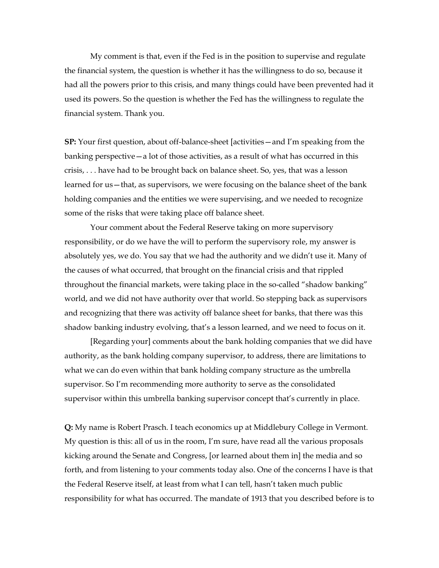My comment is that, even if the Fed is in the position to supervise and regulate the financial system, the question is whether it has the willingness to do so, because it had all the powers prior to this crisis, and many things could have been prevented had it used its powers. So the question is whether the Fed has the willingness to regulate the financial system. Thank you.

**SP:** Your first question, about off-balance-sheet [activities—and I'm speaking from the banking perspective—a lot of those activities, as a result of what has occurred in this crisis, . . . have had to be brought back on balance sheet. So, yes, that was a lesson learned for us—that, as supervisors, we were focusing on the balance sheet of the bank holding companies and the entities we were supervising, and we needed to recognize some of the risks that were taking place off balance sheet.

Your comment about the Federal Reserve taking on more supervisory responsibility, or do we have the will to perform the supervisory role, my answer is absolutely yes, we do. You say that we had the authority and we didn't use it. Many of the causes of what occurred, that brought on the financial crisis and that rippled throughout the financial markets, were taking place in the so-called "shadow banking" world, and we did not have authority over that world. So stepping back as supervisors and recognizing that there was activity off balance sheet for banks, that there was this shadow banking industry evolving, that's a lesson learned, and we need to focus on it.

[Regarding your] comments about the bank holding companies that we did have authority, as the bank holding company supervisor, to address, there are limitations to what we can do even within that bank holding company structure as the umbrella supervisor. So I'm recommending more authority to serve as the consolidated supervisor within this umbrella banking supervisor concept that's currently in place.

**Q:** My name is Robert Prasch. I teach economics up at Middlebury College in Vermont. My question is this: all of us in the room, I'm sure, have read all the various proposals kicking around the Senate and Congress, [or learned about them in] the media and so forth, and from listening to your comments today also. One of the concerns I have is that the Federal Reserve itself, at least from what I can tell, hasn't taken much public responsibility for what has occurred. The mandate of 1913 that you described before is to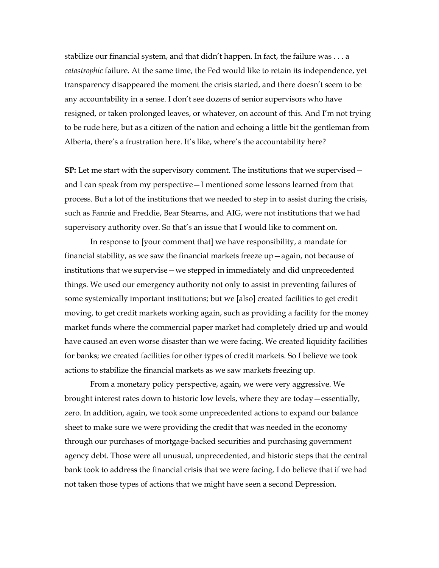stabilize our financial system, and that didn't happen. In fact, the failure was . . . a *catastrophic* failure. At the same time, the Fed would like to retain its independence, yet transparency disappeared the moment the crisis started, and there doesn't seem to be any accountability in a sense. I don't see dozens of senior supervisors who have resigned, or taken prolonged leaves, or whatever, on account of this. And I'm not trying to be rude here, but as a citizen of the nation and echoing a little bit the gentleman from Alberta, there's a frustration here. It's like, where's the accountability here?

**SP:** Let me start with the supervisory comment. The institutions that we supervised and I can speak from my perspective—I mentioned some lessons learned from that process. But a lot of the institutions that we needed to step in to assist during the crisis, such as Fannie and Freddie, Bear Stearns, and AIG, were not institutions that we had supervisory authority over. So that's an issue that I would like to comment on.

In response to [your comment that] we have responsibility, a mandate for financial stability, as we saw the financial markets freeze up—again, not because of institutions that we supervise—we stepped in immediately and did unprecedented things. We used our emergency authority not only to assist in preventing failures of some systemically important institutions; but we [also] created facilities to get credit moving, to get credit markets working again, such as providing a facility for the money market funds where the commercial paper market had completely dried up and would have caused an even worse disaster than we were facing. We created liquidity facilities for banks; we created facilities for other types of credit markets. So I believe we took actions to stabilize the financial markets as we saw markets freezing up.

From a monetary policy perspective, again, we were very aggressive. We brought interest rates down to historic low levels, where they are today—essentially, zero. In addition, again, we took some unprecedented actions to expand our balance sheet to make sure we were providing the credit that was needed in the economy through our purchases of mortgage-backed securities and purchasing government agency debt. Those were all unusual, unprecedented, and historic steps that the central bank took to address the financial crisis that we were facing. I do believe that if we had not taken those types of actions that we might have seen a second Depression.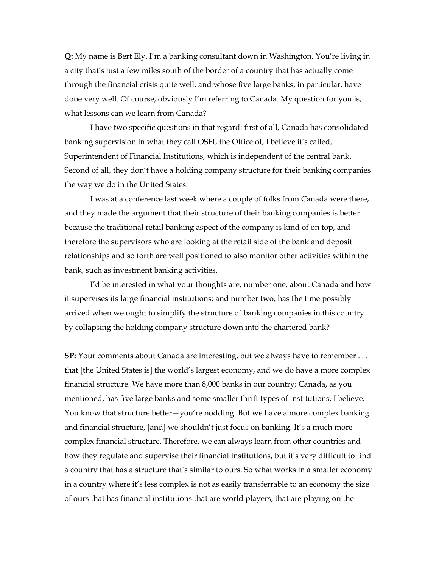**Q:** My name is Bert Ely. I'm a banking consultant down in Washington. You're living in a city that's just a few miles south of the border of a country that has actually come through the financial crisis quite well, and whose five large banks, in particular, have done very well. Of course, obviously I'm referring to Canada. My question for you is, what lessons can we learn from Canada?

I have two specific questions in that regard: first of all, Canada has consolidated banking supervision in what they call OSFI, the Office of, I believe it's called, Superintendent of Financial Institutions, which is independent of the central bank. Second of all, they don't have a holding company structure for their banking companies the way we do in the United States.

I was at a conference last week where a couple of folks from Canada were there, and they made the argument that their structure of their banking companies is better because the traditional retail banking aspect of the company is kind of on top, and therefore the supervisors who are looking at the retail side of the bank and deposit relationships and so forth are well positioned to also monitor other activities within the bank, such as investment banking activities.

I'd be interested in what your thoughts are, number one, about Canada and how it supervises its large financial institutions; and number two, has the time possibly arrived when we ought to simplify the structure of banking companies in this country by collapsing the holding company structure down into the chartered bank?

**SP:** Your comments about Canada are interesting, but we always have to remember . . . that [the United States is] the world's largest economy, and we do have a more complex financial structure. We have more than 8,000 banks in our country; Canada, as you mentioned, has five large banks and some smaller thrift types of institutions, I believe. You know that structure better—you're nodding. But we have a more complex banking and financial structure, [and] we shouldn't just focus on banking. It's a much more complex financial structure. Therefore, we can always learn from other countries and how they regulate and supervise their financial institutions, but it's very difficult to find a country that has a structure that's similar to ours. So what works in a smaller economy in a country where it's less complex is not as easily transferrable to an economy the size of ours that has financial institutions that are world players, that are playing on the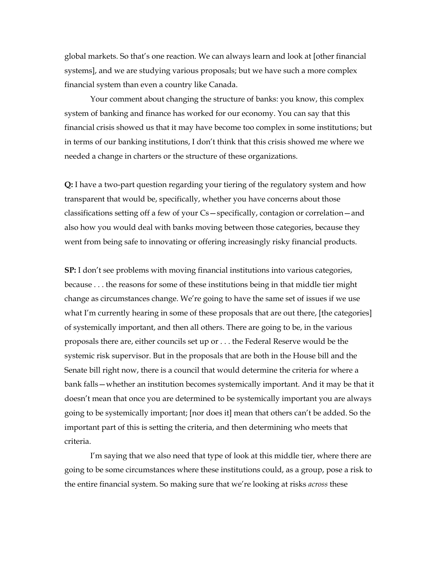global markets. So that's one reaction. We can always learn and look at [other financial systems], and we are studying various proposals; but we have such a more complex financial system than even a country like Canada.

Your comment about changing the structure of banks: you know, this complex system of banking and finance has worked for our economy. You can say that this financial crisis showed us that it may have become too complex in some institutions; but in terms of our banking institutions, I don't think that this crisis showed me where we needed a change in charters or the structure of these organizations.

**Q:** I have a two-part question regarding your tiering of the regulatory system and how transparent that would be, specifically, whether you have concerns about those classifications setting off a few of your Cs—specifically, contagion or correlation—and also how you would deal with banks moving between those categories, because they went from being safe to innovating or offering increasingly risky financial products.

**SP:** I don't see problems with moving financial institutions into various categories, because . . . the reasons for some of these institutions being in that middle tier might change as circumstances change. We're going to have the same set of issues if we use what I'm currently hearing in some of these proposals that are out there, [the categories] of systemically important, and then all others. There are going to be, in the various proposals there are, either councils set up or . . . the Federal Reserve would be the systemic risk supervisor. But in the proposals that are both in the House bill and the Senate bill right now, there is a council that would determine the criteria for where a bank falls—whether an institution becomes systemically important. And it may be that it doesn't mean that once you are determined to be systemically important you are always going to be systemically important; [nor does it] mean that others can't be added. So the important part of this is setting the criteria, and then determining who meets that criteria.

I'm saying that we also need that type of look at this middle tier, where there are going to be some circumstances where these institutions could, as a group, pose a risk to the entire financial system. So making sure that we're looking at risks *across* these